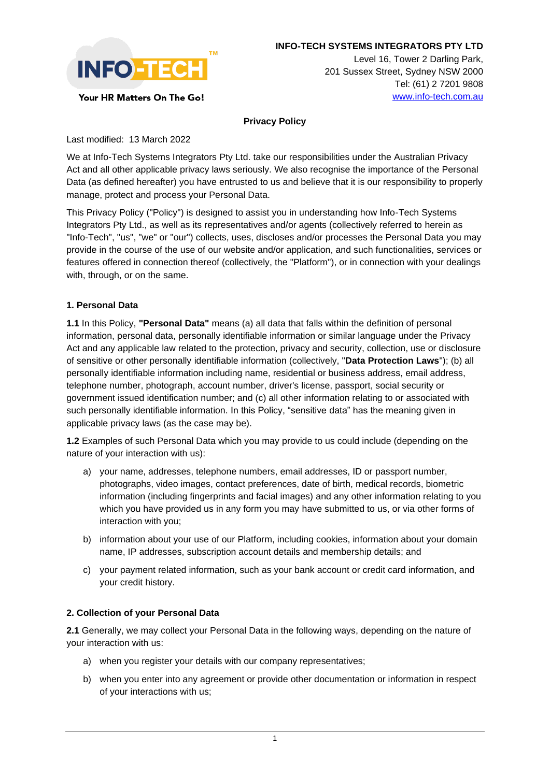

**INFO-TECH SYSTEMS INTEGRATORS PTY LTD** 

Level 16, Tower 2 Darling Park, 201 Sussex Street, Sydney NSW 2000 Tel: (61) 2 7201 9808 [www.info-tech.com.au](http://www.info-tech.com.au/)

## Your HR Matters On The Go!

#### **Privacy Policy**

Last modified: 13 March 2022

We at Info-Tech Systems Integrators Pty Ltd. take our responsibilities under the Australian Privacy Act and all other applicable privacy laws seriously. We also recognise the importance of the Personal Data (as defined hereafter) you have entrusted to us and believe that it is our responsibility to properly manage, protect and process your Personal Data.

This Privacy Policy ("Policy") is designed to assist you in understanding how Info-Tech Systems Integrators Pty Ltd., as well as its representatives and/or agents (collectively referred to herein as "Info-Tech", "us", "we" or "our") collects, uses, discloses and/or processes the Personal Data you may provide in the course of the use of our website and/or application, and such functionalities, services or features offered in connection thereof (collectively, the "Platform"), or in connection with your dealings with, through, or on the same.

#### **1. Personal Data**

**1.1** In this Policy, **"Personal Data"** means (a) all data that falls within the definition of personal information, personal data, personally identifiable information or similar language under the Privacy Act and any applicable law related to the protection, privacy and security, collection, use or disclosure of sensitive or other personally identifiable information (collectively, "**Data Protection Laws**"); (b) all personally identifiable information including name, residential or business address, email address, telephone number, photograph, account number, driver's license, passport, social security or government issued identification number; and (c) all other information relating to or associated with such personally identifiable information. In this Policy, "sensitive data" has the meaning given in applicable privacy laws (as the case may be).

**1.2** Examples of such Personal Data which you may provide to us could include (depending on the nature of your interaction with us):

- a) your name, addresses, telephone numbers, email addresses, ID or passport number, photographs, video images, contact preferences, date of birth, medical records, biometric information (including fingerprints and facial images) and any other information relating to you which you have provided us in any form you may have submitted to us, or via other forms of interaction with you;
- b) information about your use of our Platform, including cookies, information about your domain name, IP addresses, subscription account details and membership details; and
- c) your payment related information, such as your bank account or credit card information, and your credit history.

### **2. Collection of your Personal Data**

**2.1** Generally, we may collect your Personal Data in the following ways, depending on the nature of your interaction with us:

- a) when you register your details with our company representatives;
- b) when you enter into any agreement or provide other documentation or information in respect of your interactions with us;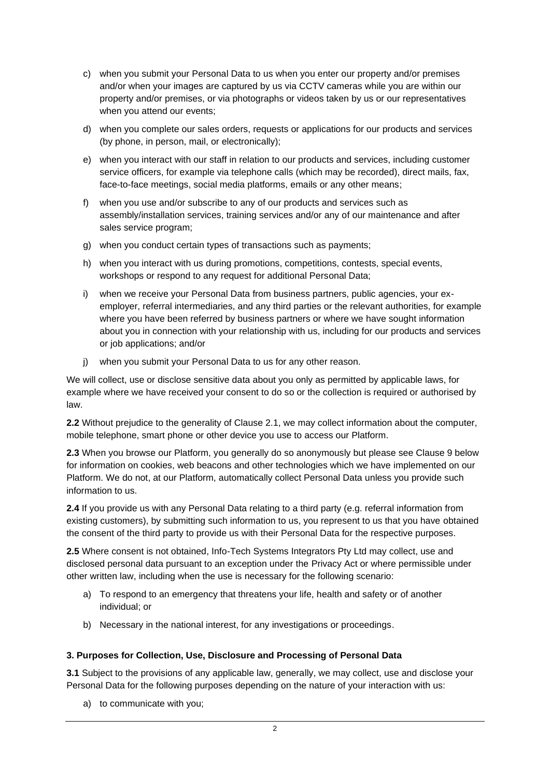- c) when you submit your Personal Data to us when you enter our property and/or premises and/or when your images are captured by us via CCTV cameras while you are within our property and/or premises, or via photographs or videos taken by us or our representatives when you attend our events;
- d) when you complete our sales orders, requests or applications for our products and services (by phone, in person, mail, or electronically);
- e) when you interact with our staff in relation to our products and services, including customer service officers, for example via telephone calls (which may be recorded), direct mails, fax, face-to-face meetings, social media platforms, emails or any other means;
- f) when you use and/or subscribe to any of our products and services such as assembly/installation services, training services and/or any of our maintenance and after sales service program;
- g) when you conduct certain types of transactions such as payments;
- h) when you interact with us during promotions, competitions, contests, special events, workshops or respond to any request for additional Personal Data;
- i) when we receive your Personal Data from business partners, public agencies, your exemployer, referral intermediaries, and any third parties or the relevant authorities, for example where you have been referred by business partners or where we have sought information about you in connection with your relationship with us, including for our products and services or job applications; and/or
- j) when you submit your Personal Data to us for any other reason.

We will collect, use or disclose sensitive data about you only as permitted by applicable laws, for example where we have received your consent to do so or the collection is required or authorised by law.

**2.2** Without prejudice to the generality of Clause 2.1, we may collect information about the computer, mobile telephone, smart phone or other device you use to access our Platform.

**2.3** When you browse our Platform, you generally do so anonymously but please see Clause 9 below for information on cookies, web beacons and other technologies which we have implemented on our Platform. We do not, at our Platform, automatically collect Personal Data unless you provide such information to us.

**2.4** If you provide us with any Personal Data relating to a third party (e.g. referral information from existing customers), by submitting such information to us, you represent to us that you have obtained the consent of the third party to provide us with their Personal Data for the respective purposes.

**2.5** Where consent is not obtained, Info-Tech Systems Integrators Pty Ltd may collect, use and disclosed personal data pursuant to an exception under the Privacy Act or where permissible under other written law, including when the use is necessary for the following scenario:

- a) To respond to an emergency that threatens your life, health and safety or of another individual; or
- b) Necessary in the national interest, for any investigations or proceedings.

### **3. Purposes for Collection, Use, Disclosure and Processing of Personal Data**

**3.1** Subject to the provisions of any applicable law, generally, we may collect, use and disclose your Personal Data for the following purposes depending on the nature of your interaction with us:

a) to communicate with you;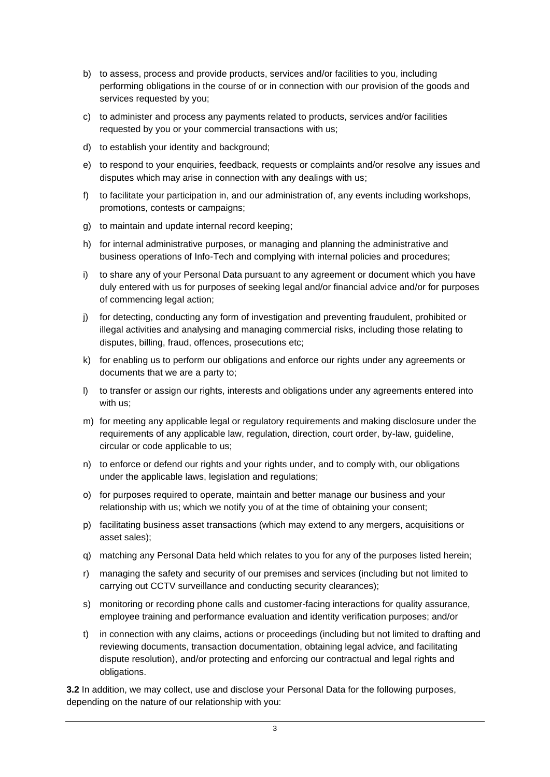- b) to assess, process and provide products, services and/or facilities to you, including performing obligations in the course of or in connection with our provision of the goods and services requested by you;
- c) to administer and process any payments related to products, services and/or facilities requested by you or your commercial transactions with us;
- d) to establish your identity and background;
- e) to respond to your enquiries, feedback, requests or complaints and/or resolve any issues and disputes which may arise in connection with any dealings with us;
- f) to facilitate your participation in, and our administration of, any events including workshops, promotions, contests or campaigns;
- g) to maintain and update internal record keeping;
- h) for internal administrative purposes, or managing and planning the administrative and business operations of Info-Tech and complying with internal policies and procedures;
- i) to share any of your Personal Data pursuant to any agreement or document which you have duly entered with us for purposes of seeking legal and/or financial advice and/or for purposes of commencing legal action;
- j) for detecting, conducting any form of investigation and preventing fraudulent, prohibited or illegal activities and analysing and managing commercial risks, including those relating to disputes, billing, fraud, offences, prosecutions etc;
- k) for enabling us to perform our obligations and enforce our rights under any agreements or documents that we are a party to;
- l) to transfer or assign our rights, interests and obligations under any agreements entered into with us;
- m) for meeting any applicable legal or regulatory requirements and making disclosure under the requirements of any applicable law, regulation, direction, court order, by-law, guideline, circular or code applicable to us;
- n) to enforce or defend our rights and your rights under, and to comply with, our obligations under the applicable laws, legislation and regulations;
- o) for purposes required to operate, maintain and better manage our business and your relationship with us; which we notify you of at the time of obtaining your consent;
- p) facilitating business asset transactions (which may extend to any mergers, acquisitions or asset sales);
- q) matching any Personal Data held which relates to you for any of the purposes listed herein;
- r) managing the safety and security of our premises and services (including but not limited to carrying out CCTV surveillance and conducting security clearances);
- s) monitoring or recording phone calls and customer-facing interactions for quality assurance, employee training and performance evaluation and identity verification purposes; and/or
- t) in connection with any claims, actions or proceedings (including but not limited to drafting and reviewing documents, transaction documentation, obtaining legal advice, and facilitating dispute resolution), and/or protecting and enforcing our contractual and legal rights and obligations.

**3.2** In addition, we may collect, use and disclose your Personal Data for the following purposes, depending on the nature of our relationship with you: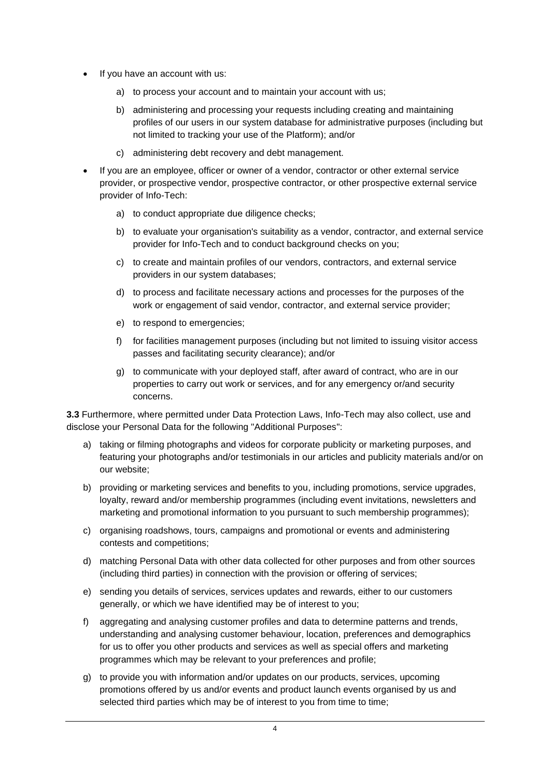- If you have an account with us:
	- a) to process your account and to maintain your account with us;
	- b) administering and processing your requests including creating and maintaining profiles of our users in our system database for administrative purposes (including but not limited to tracking your use of the Platform); and/or
	- c) administering debt recovery and debt management.
- If you are an employee, officer or owner of a vendor, contractor or other external service provider, or prospective vendor, prospective contractor, or other prospective external service provider of Info-Tech:
	- a) to conduct appropriate due diligence checks;
	- b) to evaluate your organisation's suitability as a vendor, contractor, and external service provider for Info-Tech and to conduct background checks on you;
	- c) to create and maintain profiles of our vendors, contractors, and external service providers in our system databases;
	- d) to process and facilitate necessary actions and processes for the purposes of the work or engagement of said vendor, contractor, and external service provider;
	- e) to respond to emergencies;
	- f) for facilities management purposes (including but not limited to issuing visitor access passes and facilitating security clearance); and/or
	- g) to communicate with your deployed staff, after award of contract, who are in our properties to carry out work or services, and for any emergency or/and security concerns.

**3.3** Furthermore, where permitted under Data Protection Laws, Info-Tech may also collect, use and disclose your Personal Data for the following "Additional Purposes":

- a) taking or filming photographs and videos for corporate publicity or marketing purposes, and featuring your photographs and/or testimonials in our articles and publicity materials and/or on our website;
- b) providing or marketing services and benefits to you, including promotions, service upgrades, loyalty, reward and/or membership programmes (including event invitations, newsletters and marketing and promotional information to you pursuant to such membership programmes);
- c) organising roadshows, tours, campaigns and promotional or events and administering contests and competitions;
- d) matching Personal Data with other data collected for other purposes and from other sources (including third parties) in connection with the provision or offering of services;
- e) sending you details of services, services updates and rewards, either to our customers generally, or which we have identified may be of interest to you;
- f) aggregating and analysing customer profiles and data to determine patterns and trends, understanding and analysing customer behaviour, location, preferences and demographics for us to offer you other products and services as well as special offers and marketing programmes which may be relevant to your preferences and profile;
- g) to provide you with information and/or updates on our products, services, upcoming promotions offered by us and/or events and product launch events organised by us and selected third parties which may be of interest to you from time to time;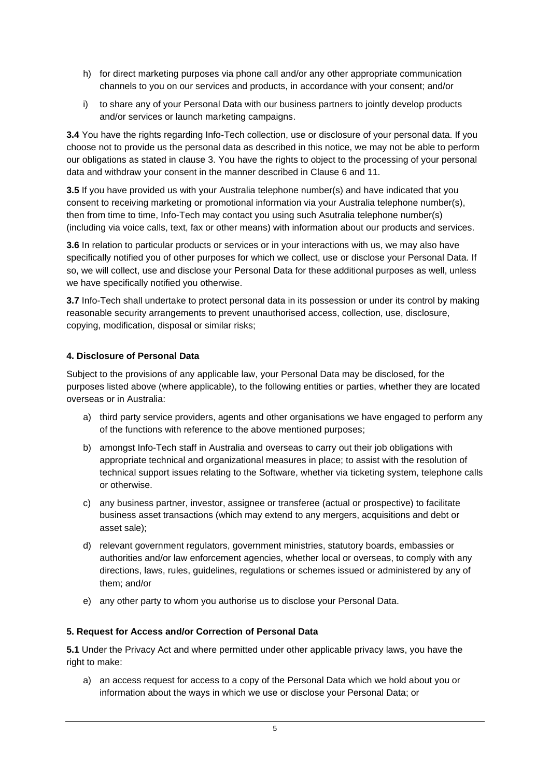- h) for direct marketing purposes via phone call and/or any other appropriate communication channels to you on our services and products, in accordance with your consent; and/or
- i) to share any of your Personal Data with our business partners to jointly develop products and/or services or launch marketing campaigns.

**3.4** You have the rights regarding Info-Tech collection, use or disclosure of your personal data. If you choose not to provide us the personal data as described in this notice, we may not be able to perform our obligations as stated in clause 3. You have the rights to object to the processing of your personal data and withdraw your consent in the manner described in Clause 6 and 11.

**3.5** If you have provided us with your Australia telephone number(s) and have indicated that you consent to receiving marketing or promotional information via your Australia telephone number(s), then from time to time, Info-Tech may contact you using such Asutralia telephone number(s) (including via voice calls, text, fax or other means) with information about our products and services.

**3.6** In relation to particular products or services or in your interactions with us, we may also have specifically notified you of other purposes for which we collect, use or disclose your Personal Data. If so, we will collect, use and disclose your Personal Data for these additional purposes as well, unless we have specifically notified you otherwise.

**3.7** Info-Tech shall undertake to protect personal data in its possession or under its control by making reasonable security arrangements to prevent unauthorised access, collection, use, disclosure, copying, modification, disposal or similar risks;

## **4. Disclosure of Personal Data**

Subject to the provisions of any applicable law, your Personal Data may be disclosed, for the purposes listed above (where applicable), to the following entities or parties, whether they are located overseas or in Australia:

- a) third party service providers, agents and other organisations we have engaged to perform any of the functions with reference to the above mentioned purposes;
- b) amongst Info-Tech staff in Australia and overseas to carry out their job obligations with appropriate technical and organizational measures in place; to assist with the resolution of technical support issues relating to the Software, whether via ticketing system, telephone calls or otherwise.
- c) any business partner, investor, assignee or transferee (actual or prospective) to facilitate business asset transactions (which may extend to any mergers, acquisitions and debt or asset sale);
- d) relevant government regulators, government ministries, statutory boards, embassies or authorities and/or law enforcement agencies, whether local or overseas, to comply with any directions, laws, rules, guidelines, regulations or schemes issued or administered by any of them; and/or
- e) any other party to whom you authorise us to disclose your Personal Data.

### **5. Request for Access and/or Correction of Personal Data**

**5.1** Under the Privacy Act and where permitted under other applicable privacy laws, you have the right to make:

a) an access request for access to a copy of the Personal Data which we hold about you or information about the ways in which we use or disclose your Personal Data; or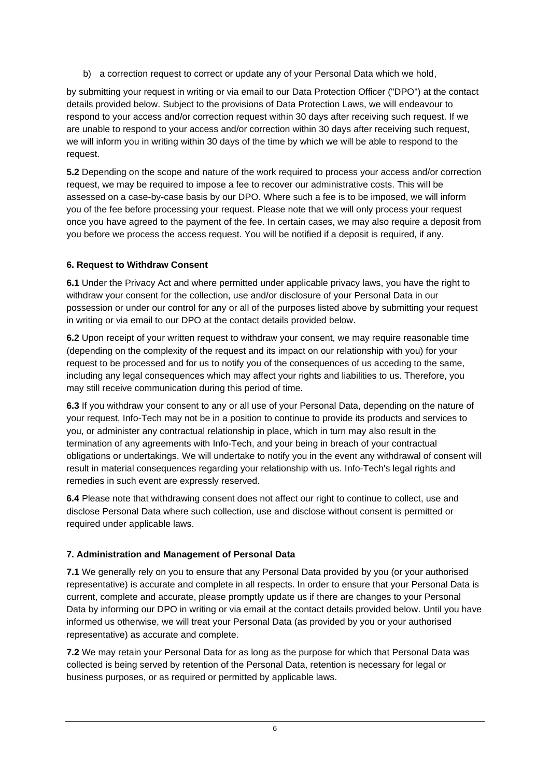b) a correction request to correct or update any of your Personal Data which we hold,

by submitting your request in writing or via email to our Data Protection Officer ("DPO") at the contact details provided below. Subject to the provisions of Data Protection Laws, we will endeavour to respond to your access and/or correction request within 30 days after receiving such request. If we are unable to respond to your access and/or correction within 30 days after receiving such request, we will inform you in writing within 30 days of the time by which we will be able to respond to the request.

**5.2** Depending on the scope and nature of the work required to process your access and/or correction request, we may be required to impose a fee to recover our administrative costs. This will be assessed on a case-by-case basis by our DPO. Where such a fee is to be imposed, we will inform you of the fee before processing your request. Please note that we will only process your request once you have agreed to the payment of the fee. In certain cases, we may also require a deposit from you before we process the access request. You will be notified if a deposit is required, if any.

# **6. Request to Withdraw Consent**

**6.1** Under the Privacy Act and where permitted under applicable privacy laws, you have the right to withdraw your consent for the collection, use and/or disclosure of your Personal Data in our possession or under our control for any or all of the purposes listed above by submitting your request in writing or via email to our DPO at the contact details provided below.

**6.2** Upon receipt of your written request to withdraw your consent, we may require reasonable time (depending on the complexity of the request and its impact on our relationship with you) for your request to be processed and for us to notify you of the consequences of us acceding to the same, including any legal consequences which may affect your rights and liabilities to us. Therefore, you may still receive communication during this period of time.

**6.3** If you withdraw your consent to any or all use of your Personal Data, depending on the nature of your request, Info-Tech may not be in a position to continue to provide its products and services to you, or administer any contractual relationship in place, which in turn may also result in the termination of any agreements with Info-Tech, and your being in breach of your contractual obligations or undertakings. We will undertake to notify you in the event any withdrawal of consent will result in material consequences regarding your relationship with us. Info-Tech's legal rights and remedies in such event are expressly reserved.

**6.4** Please note that withdrawing consent does not affect our right to continue to collect, use and disclose Personal Data where such collection, use and disclose without consent is permitted or required under applicable laws.

# **7. Administration and Management of Personal Data**

**7.1** We generally rely on you to ensure that any Personal Data provided by you (or your authorised representative) is accurate and complete in all respects. In order to ensure that your Personal Data is current, complete and accurate, please promptly update us if there are changes to your Personal Data by informing our DPO in writing or via email at the contact details provided below. Until you have informed us otherwise, we will treat your Personal Data (as provided by you or your authorised representative) as accurate and complete.

**7.2** We may retain your Personal Data for as long as the purpose for which that Personal Data was collected is being served by retention of the Personal Data, retention is necessary for legal or business purposes, or as required or permitted by applicable laws.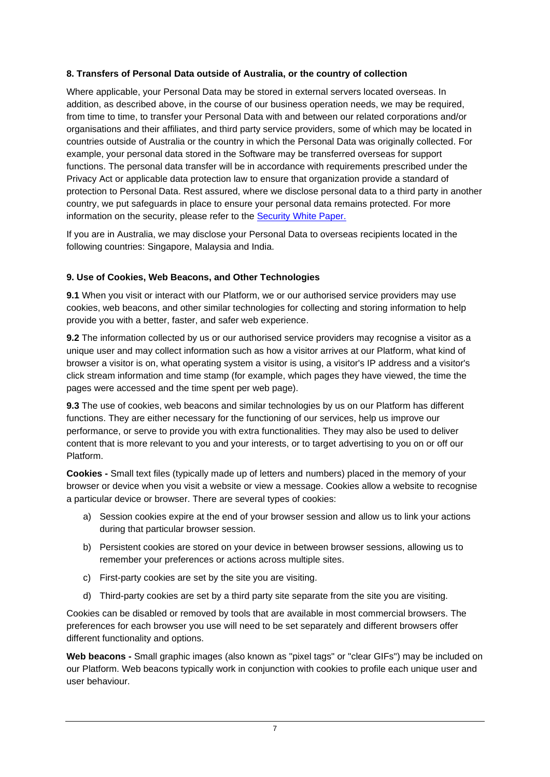## **8. Transfers of Personal Data outside of Australia, or the country of collection**

Where applicable, your Personal Data may be stored in external servers located overseas. In addition, as described above, in the course of our business operation needs, we may be required, from time to time, to transfer your Personal Data with and between our related corporations and/or organisations and their affiliates, and third party service providers, some of which may be located in countries outside of Australia or the country in which the Personal Data was originally collected. For example, your personal data stored in the Software may be transferred overseas for support functions. The personal data transfer will be in accordance with requirements prescribed under the Privacy Act or applicable data protection law to ensure that organization provide a standard of protection to Personal Data. Rest assured, where we disclose personal data to a third party in another country, we put safeguards in place to ensure your personal data remains protected. For more information on the security, please refer to the [Security White Paper.](https://www.info-tech.com.sg/securitywhitepaper.htm)

If you are in Australia, we may disclose your Personal Data to overseas recipients located in the following countries: Singapore, Malaysia and India.

## **9. Use of Cookies, Web Beacons, and Other Technologies**

**9.1** When you visit or interact with our Platform, we or our authorised service providers may use cookies, web beacons, and other similar technologies for collecting and storing information to help provide you with a better, faster, and safer web experience.

**9.2** The information collected by us or our authorised service providers may recognise a visitor as a unique user and may collect information such as how a visitor arrives at our Platform, what kind of browser a visitor is on, what operating system a visitor is using, a visitor's IP address and a visitor's click stream information and time stamp (for example, which pages they have viewed, the time the pages were accessed and the time spent per web page).

**9.3** The use of cookies, web beacons and similar technologies by us on our Platform has different functions. They are either necessary for the functioning of our services, help us improve our performance, or serve to provide you with extra functionalities. They may also be used to deliver content that is more relevant to you and your interests, or to target advertising to you on or off our Platform.

**Cookies -** Small text files (typically made up of letters and numbers) placed in the memory of your browser or device when you visit a website or view a message. Cookies allow a website to recognise a particular device or browser. There are several types of cookies:

- a) Session cookies expire at the end of your browser session and allow us to link your actions during that particular browser session.
- b) Persistent cookies are stored on your device in between browser sessions, allowing us to remember your preferences or actions across multiple sites.
- c) First-party cookies are set by the site you are visiting.
- d) Third-party cookies are set by a third party site separate from the site you are visiting.

Cookies can be disabled or removed by tools that are available in most commercial browsers. The preferences for each browser you use will need to be set separately and different browsers offer different functionality and options.

**Web beacons -** Small graphic images (also known as "pixel tags" or "clear GIFs") may be included on our Platform. Web beacons typically work in conjunction with cookies to profile each unique user and user behaviour.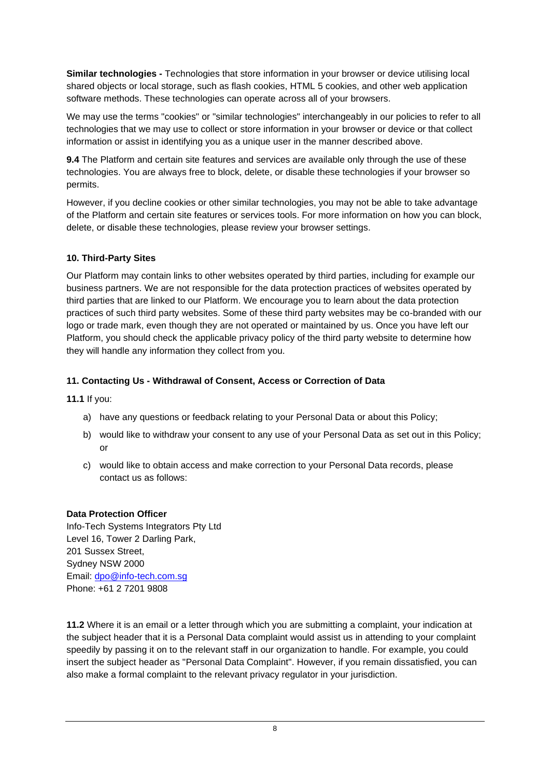**Similar technologies -** Technologies that store information in your browser or device utilising local shared objects or local storage, such as flash cookies, HTML 5 cookies, and other web application software methods. These technologies can operate across all of your browsers.

We may use the terms "cookies" or "similar technologies" interchangeably in our policies to refer to all technologies that we may use to collect or store information in your browser or device or that collect information or assist in identifying you as a unique user in the manner described above.

**9.4** The Platform and certain site features and services are available only through the use of these technologies. You are always free to block, delete, or disable these technologies if your browser so permits.

However, if you decline cookies or other similar technologies, you may not be able to take advantage of the Platform and certain site features or services tools. For more information on how you can block, delete, or disable these technologies, please review your browser settings.

### **10. Third-Party Sites**

Our Platform may contain links to other websites operated by third parties, including for example our business partners. We are not responsible for the data protection practices of websites operated by third parties that are linked to our Platform. We encourage you to learn about the data protection practices of such third party websites. Some of these third party websites may be co-branded with our logo or trade mark, even though they are not operated or maintained by us. Once you have left our Platform, you should check the applicable privacy policy of the third party website to determine how they will handle any information they collect from you.

### **11. Contacting Us - Withdrawal of Consent, Access or Correction of Data**

**11.1** If you:

- a) have any questions or feedback relating to your Personal Data or about this Policy;
- b) would like to withdraw your consent to any use of your Personal Data as set out in this Policy; or
- c) would like to obtain access and make correction to your Personal Data records, please contact us as follows:

### **Data Protection Officer**

Info-Tech Systems Integrators Pty Ltd Level 16, Tower 2 Darling Park, 201 Sussex Street, Sydney NSW 2000 Email: [dpo@info-tech.com.sg](mailto:dpo@info-tech.com.au) Phone: +61 2 7201 9808

**11.2** Where it is an email or a letter through which you are submitting a complaint, your indication at the subject header that it is a Personal Data complaint would assist us in attending to your complaint speedily by passing it on to the relevant staff in our organization to handle. For example, you could insert the subject header as "Personal Data Complaint". However, if you remain dissatisfied, you can also make a formal complaint to the relevant privacy regulator in your jurisdiction.